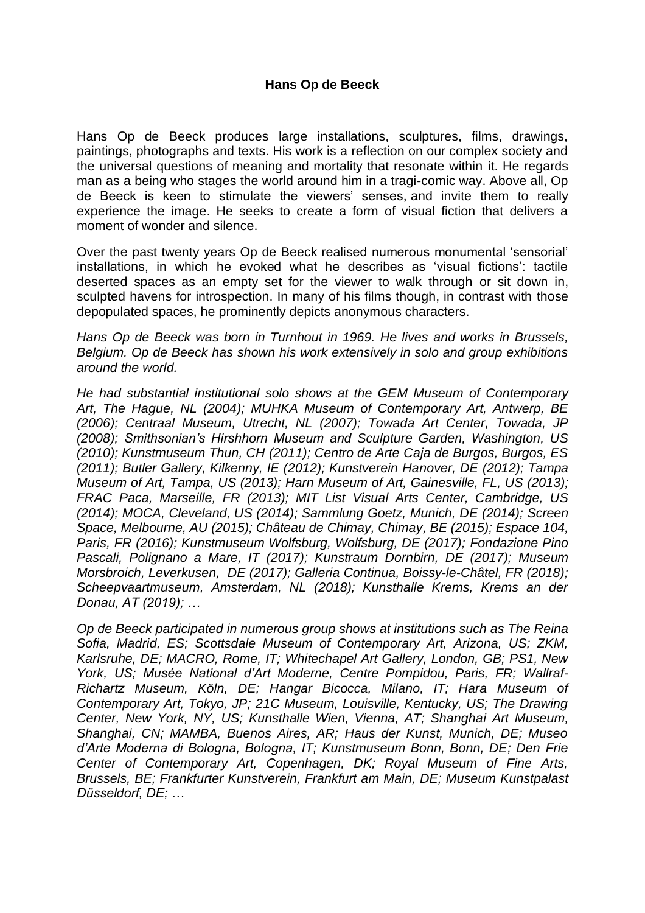Hans Op de Beeck produces large installations, sculptures, films, drawings, paintings, photographs and texts. His work is a reflection on our complex society and the universal questions of meaning and mortality that resonate within it. He regards man as a being who stages the world around him in a tragi-comic way. Above all, Op de Beeck is keen to stimulate the viewers' senses, and invite them to really experience the image. He seeks to create a form of visual fiction that delivers a moment of wonder and silence.

Over the past twenty years Op de Beeck realised numerous monumental 'sensorial' installations, in which he evoked what he describes as 'visual fictions': tactile deserted spaces as an empty set for the viewer to walk through or sit down in, sculpted havens for introspection. In many of his films though, in contrast with those depopulated spaces, he prominently depicts anonymous characters.

*Hans Op de Beeck was born in Turnhout in 1969. He lives and works in Brussels, Belgium. Op de Beeck has shown his work extensively in solo and group exhibitions around the world.*

*He had substantial institutional solo shows at the GEM Museum of Contemporary Art, The Hague, NL (2004); MUHKA Museum of Contemporary Art, Antwerp, BE (2006); Centraal Museum, Utrecht, NL (2007); Towada Art Center, Towada, JP (2008); Smithsonian's Hirshhorn Museum and Sculpture Garden, Washington, US (2010); Kunstmuseum Thun, CH (2011); Centro de Arte Caja de Burgos, Burgos, ES (2011); Butler Gallery, Kilkenny, IE (2012); Kunstverein Hanover, DE (2012); Tampa Museum of Art, Tampa, US (2013); Harn Museum of Art, Gainesville, FL, US (2013); FRAC Paca, Marseille, FR (2013); MIT List Visual Arts Center, Cambridge, US (2014); MOCA, Cleveland, US (2014); Sammlung Goetz, Munich, DE (2014); Screen Space, Melbourne, AU (2015); Château de Chimay, Chimay, BE (2015); Espace 104, Paris, FR (2016); Kunstmuseum Wolfsburg, Wolfsburg, DE (2017); Fondazione Pino Pascali, Polignano a Mare, IT (2017); Kunstraum Dornbirn, DE (2017); Museum Morsbroich, Leverkusen, DE (2017); Galleria Continua, Boissy-le-Châtel, FR (2018); Scheepvaartmuseum, Amsterdam, NL (2018); Kunsthalle Krems, Krems an der Donau, AT (2019); …* 

*Op de Beeck participated in numerous group shows at institutions such as The Reina Sofia, Madrid, ES; Scottsdale Museum of Contemporary Art, Arizona, US; ZKM, Karlsruhe, DE; MACRO, Rome, IT; Whitechapel Art Gallery, London, GB; PS1, New York, US; Musée National d'Art Moderne, Centre Pompidou, Paris, FR; Wallraf-Richartz Museum, Köln, DE; Hangar Bicocca, Milano, IT; Hara Museum of Contemporary Art, Tokyo, JP; 21C Museum, Louisville, Kentucky, US; The Drawing Center, New York, NY, US; Kunsthalle Wien, Vienna, AT; Shanghai Art Museum, Shanghai, CN; MAMBA, Buenos Aires, AR; Haus der Kunst, Munich, DE; Museo d'Arte Moderna di Bologna, Bologna, IT; Kunstmuseum Bonn, Bonn, DE; Den Frie Center of Contemporary Art, Copenhagen, DK; Royal Museum of Fine Arts, Brussels, BE; Frankfurter Kunstverein, Frankfurt am Main, DE; Museum Kunstpalast Düsseldorf, DE; …*